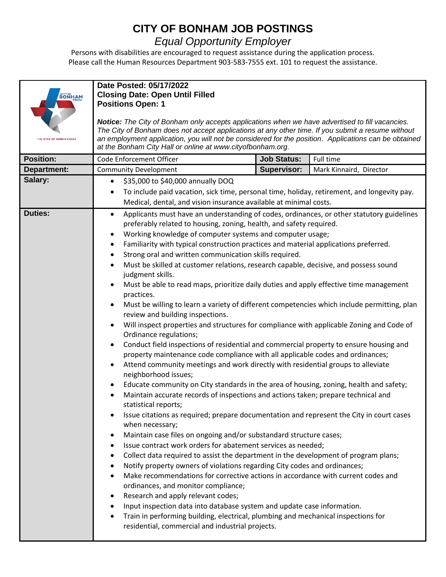## **CITY OF BONHAM JOB POSTINGS**

## *Equal Opportunity Employer*

Persons with disabilities are encouraged to request assistance during the application process. Please call the Human Resources Department 903-583-7555 ext. 101 to request the assistance.

| $\overset{\text{GITY OF}}{\underset{\longleftarrow}{\text{BONHAM}}}$ | Date Posted: 05/17/2022<br><b>Closing Date: Open Until Filled</b><br><b>Positions Open: 1</b>                                                                                                                                                                                                                                                                                                                                                                                                                                                                                                                                                                                                                                                                                                                                                                                                                                                                                                                                                                                |                    |                         |  |
|----------------------------------------------------------------------|------------------------------------------------------------------------------------------------------------------------------------------------------------------------------------------------------------------------------------------------------------------------------------------------------------------------------------------------------------------------------------------------------------------------------------------------------------------------------------------------------------------------------------------------------------------------------------------------------------------------------------------------------------------------------------------------------------------------------------------------------------------------------------------------------------------------------------------------------------------------------------------------------------------------------------------------------------------------------------------------------------------------------------------------------------------------------|--------------------|-------------------------|--|
| THE STAR OF NORTH TEXAS                                              | Notice: The City of Bonham only accepts applications when we have advertised to fill vacancies.<br>The City of Bonham does not accept applications at any other time. If you submit a resume without<br>an employment application, you will not be considered for the position. Applications can be obtained<br>at the Bonham City Hall or online at www.cityofbonham.org.                                                                                                                                                                                                                                                                                                                                                                                                                                                                                                                                                                                                                                                                                                   |                    |                         |  |
| <b>Position:</b>                                                     | Code Enforcement Officer                                                                                                                                                                                                                                                                                                                                                                                                                                                                                                                                                                                                                                                                                                                                                                                                                                                                                                                                                                                                                                                     | <b>Job Status:</b> | Full time               |  |
| <b>Department:</b>                                                   | <b>Community Development</b>                                                                                                                                                                                                                                                                                                                                                                                                                                                                                                                                                                                                                                                                                                                                                                                                                                                                                                                                                                                                                                                 | <b>Supervisor:</b> | Mark Kinnaird, Director |  |
| Salary:                                                              | \$35,000 to \$40,000 annually DOQ<br>To include paid vacation, sick time, personal time, holiday, retirement, and longevity pay.<br>٠                                                                                                                                                                                                                                                                                                                                                                                                                                                                                                                                                                                                                                                                                                                                                                                                                                                                                                                                        |                    |                         |  |
|                                                                      |                                                                                                                                                                                                                                                                                                                                                                                                                                                                                                                                                                                                                                                                                                                                                                                                                                                                                                                                                                                                                                                                              |                    |                         |  |
|                                                                      | Medical, dental, and vision insurance available at minimal costs.                                                                                                                                                                                                                                                                                                                                                                                                                                                                                                                                                                                                                                                                                                                                                                                                                                                                                                                                                                                                            |                    |                         |  |
| <b>Duties:</b>                                                       | Applicants must have an understanding of codes, ordinances, or other statutory guidelines<br>$\bullet$<br>preferably related to housing, zoning, health, and safety required.<br>Working knowledge of computer systems and computer usage;<br>Familiarity with typical construction practices and material applications preferred.<br>٠<br>Strong oral and written communication skills required.<br>٠<br>Must be skilled at customer relations, research capable, decisive, and possess sound<br>$\bullet$<br>judgment skills.<br>Must be able to read maps, prioritize daily duties and apply effective time management<br>practices.<br>Must be willing to learn a variety of different competencies which include permitting, plan<br>review and building inspections.<br>Will inspect properties and structures for compliance with applicable Zoning and Code of<br>Ordinance regulations;<br>Conduct field inspections of residential and commercial property to ensure housing and<br>property maintenance code compliance with all applicable codes and ordinances; |                    |                         |  |
|                                                                      |                                                                                                                                                                                                                                                                                                                                                                                                                                                                                                                                                                                                                                                                                                                                                                                                                                                                                                                                                                                                                                                                              |                    |                         |  |
|                                                                      |                                                                                                                                                                                                                                                                                                                                                                                                                                                                                                                                                                                                                                                                                                                                                                                                                                                                                                                                                                                                                                                                              |                    |                         |  |
|                                                                      |                                                                                                                                                                                                                                                                                                                                                                                                                                                                                                                                                                                                                                                                                                                                                                                                                                                                                                                                                                                                                                                                              |                    |                         |  |
|                                                                      |                                                                                                                                                                                                                                                                                                                                                                                                                                                                                                                                                                                                                                                                                                                                                                                                                                                                                                                                                                                                                                                                              |                    |                         |  |
|                                                                      |                                                                                                                                                                                                                                                                                                                                                                                                                                                                                                                                                                                                                                                                                                                                                                                                                                                                                                                                                                                                                                                                              |                    |                         |  |
|                                                                      | Attend community meetings and work directly with residential groups to alleviate<br>neighborhood issues;                                                                                                                                                                                                                                                                                                                                                                                                                                                                                                                                                                                                                                                                                                                                                                                                                                                                                                                                                                     |                    |                         |  |
|                                                                      | Educate community on City standards in the area of housing, zoning, health and safety;                                                                                                                                                                                                                                                                                                                                                                                                                                                                                                                                                                                                                                                                                                                                                                                                                                                                                                                                                                                       |                    |                         |  |
|                                                                      | Maintain accurate records of inspections and actions taken; prepare technical and<br>statistical reports;                                                                                                                                                                                                                                                                                                                                                                                                                                                                                                                                                                                                                                                                                                                                                                                                                                                                                                                                                                    |                    |                         |  |
|                                                                      | Issue citations as required; prepare documentation and represent the City in court cases<br>when necessary;<br>Maintain case files on ongoing and/or substandard structure cases;<br>٠<br>Issue contract work orders for abatement services as needed;<br>٠<br>Collect data required to assist the department in the development of program plans;<br>٠<br>Notify property owners of violations regarding City codes and ordinances;<br>Make recommendations for corrective actions in accordance with current codes and<br>ordinances, and monitor compliance;                                                                                                                                                                                                                                                                                                                                                                                                                                                                                                              |                    |                         |  |
|                                                                      |                                                                                                                                                                                                                                                                                                                                                                                                                                                                                                                                                                                                                                                                                                                                                                                                                                                                                                                                                                                                                                                                              |                    |                         |  |
|                                                                      |                                                                                                                                                                                                                                                                                                                                                                                                                                                                                                                                                                                                                                                                                                                                                                                                                                                                                                                                                                                                                                                                              |                    |                         |  |
|                                                                      |                                                                                                                                                                                                                                                                                                                                                                                                                                                                                                                                                                                                                                                                                                                                                                                                                                                                                                                                                                                                                                                                              |                    |                         |  |
|                                                                      |                                                                                                                                                                                                                                                                                                                                                                                                                                                                                                                                                                                                                                                                                                                                                                                                                                                                                                                                                                                                                                                                              |                    |                         |  |
|                                                                      | Research and apply relevant codes;<br>٠                                                                                                                                                                                                                                                                                                                                                                                                                                                                                                                                                                                                                                                                                                                                                                                                                                                                                                                                                                                                                                      |                    |                         |  |
|                                                                      | Input inspection data into database system and update case information.<br>٠                                                                                                                                                                                                                                                                                                                                                                                                                                                                                                                                                                                                                                                                                                                                                                                                                                                                                                                                                                                                 |                    |                         |  |
|                                                                      | Train in performing building, electrical, plumbing and mechanical inspections for<br>residential, commercial and industrial projects.                                                                                                                                                                                                                                                                                                                                                                                                                                                                                                                                                                                                                                                                                                                                                                                                                                                                                                                                        |                    |                         |  |